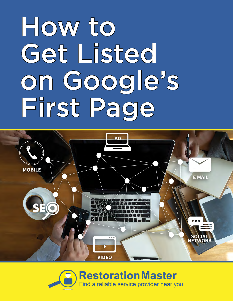# How to Get Listed on Google's First Page



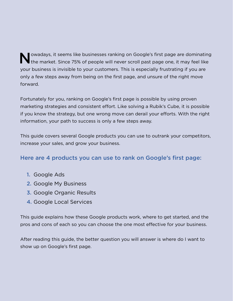Nowadays, it seems like businesses ranking on Google's first page are dominating<br>the market. Since 75% of people will never scroll past page one, it may feel like your business is invisible to your customers. This is especially frustrating if you are only a few steps away from being on the first page, and unsure of the right move forward.

Fortunately for you, ranking on Google's first page is possible by using proven marketing strategies and consistent effort. Like solving a Rubik's Cube, it is possible if you know the strategy, but one wrong move can derail your efforts. With the right information, your path to success is only a few steps away.

This guide covers several Google products you can use to outrank your competitors, increase your sales, and grow your business.

#### Here are 4 products you can use to rank on Google's first page:

- 1. Google Ads
- 2. Google My Business
- 3. Google Organic Results
- 4. Google Local Services

This guide explains how these Google products work, where to get started, and the pros and cons of each so you can choose the one most effective for your business.

After reading this guide, the better question you will answer is where do I want to show up on Google's first page.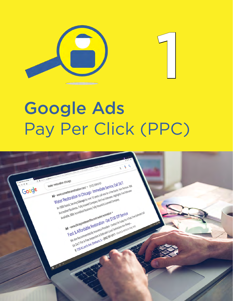

# Google Ads Pay Per Click (PPC)

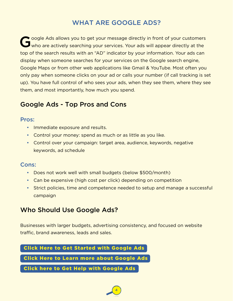# WHAT ARE GOOGLE ADS?

Coogle Ads allows you to get your message directly in front of your customers<br>
Who are actively searching your services. Your ads will appear directly at the top of the search results with an "AD" indicator by your information. Your ads can display when someone searches for your services on the Google search engine, Google Maps or from other web applications like Gmail & YouTube. Most often you only pay when someone clicks on your ad or calls your number (if call tracking is set up). You have full control of who sees your ads, when they see them, where they see them, and most importantly, how much you spend.

## Google Ads - Top Pros and Cons

#### Pros:

- Immediate exposure and results.
- Control your money: spend as much or as little as you like.
- Control over your campaign: target area, audience, keywords, negative keywords, ad schedule

#### Cons:

- Does not work well with small budgets (below \$500/month)
- Can be expensive (high cost per click) depending on competition
- Strict policies, time and competence needed to setup and manage a successful campaign

## Who Should Use Google Ads?

Businesses with larger budgets, advertising consistency, and focused on website traffic, brand awareness, leads and sales.

4

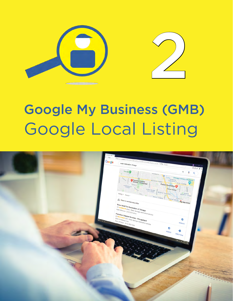

# Google My Business (GMB) Google Local Listing

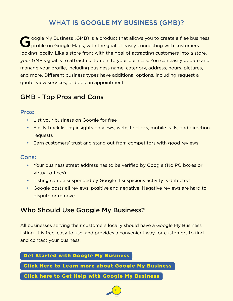# WHAT IS GOOGLE MY BUSINESS (GMB)?

Coogle My Business (GMB) is a product that allows you to create a free business profile on Google Maps, with the goal of easily connecting with customers looking locally. Like a store front with the goal of attracting customers into a store, your GMB's goal is to attract customers to your business. You can easily update and manage your profile, including business name, category, address, hours, pictures, and more. Different business types have additional options, including request a quote, view services, or book an appointment.

### GMB - Top Pros and Cons

#### Pros:

- List your business on Google for free
- Easily track listing insights on views, website clicks, mobile calls, and direction requests
- Earn customers' trust and stand out from competitors with good reviews

#### Cons:

- Your business street address has to be verified by Google (No PO boxes or virtual offices)
- Listing can be suspended by Google if suspicious activity is detected
- Google posts all reviews, positive and negative. Negative reviews are hard to dispute or remove

## Who Should Use Google My Business?

All businesses serving their customers locally should have a Google My Business listing. It is free, easy to use, and provides a convenient way for customers to find and contact your business.

6

#### [Get Started with Google My Business](https://www.google.com/business/)

 [Click Here to Learn more about Google My Business](https://support.google.com/business/answer/3038177)

 [Click here to Get Help with Google My Business](https://restorationmasterfinder.com/lead-gen/)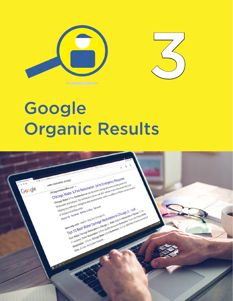



# **Google** Organic Results

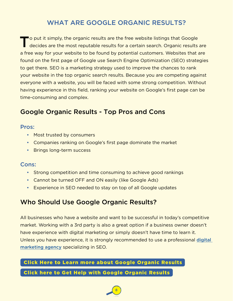# WHAT ARE GOOGLE ORGANIC RESULTS?

To put it simply, the organic results are the free website listings that Google<br>decides are the most reputable results for a certain search. Organic results are a free way for your website to be found by potential customers. Websites that are found on the first page of Google use Search Engine Optimization (SEO) strategies to get there. SEO is a marketing strategy used to improve the chances to rank your website in the top organic search results. Because you are competing against everyone with a website, you will be faced with some strong competition. Without having experience in this field, ranking your website on Google's first page can be time-consuming and complex.

# Google Organic Results - Top Pros and Cons

#### Pros:

- Most trusted by consumers
- Companies ranking on Google's first page dominate the market
- Brings long-term success

#### Cons:

- Strong competition and time consuming to achieve good rankings
- Cannot be turned OFF and ON easily (like Google Ads)
- Experience in SEO needed to stay on top of all Google updates

# Who Should Use Google Organic Results?

All businesses who have a website and want to be successful in today's competitive market. Working with a 3rd party is also a great option if a business owner doesn't have experience with digital marketing or simply doesn't have time to learn it. Unless you have experience, it is strongly recommended to use a professional [digital](https://www.proceedinnovative.com/)  [marketing agency](https://www.proceedinnovative.com/) specializing in SEO.

8

#### [Click Here to Learn more about Google Organic Results](https://support.google.com/business/answer/3038177)

#### [Click here to Get Help with Google Organic Results](https://restorationmasterfinder.com/lead-gen/)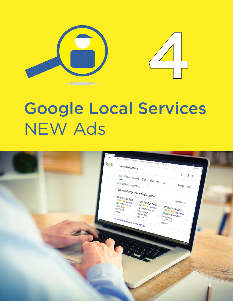

# Google Local Services NEW Ads

4

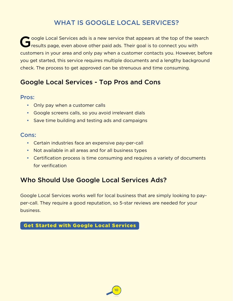# WHAT IS GOOGLE LOCAL SERVICES?

Coogle Local Services ads is a new service that appears at the top of the search results page, even above other paid ads. Their goal is to connect you with customers in your area and only pay when a customer contacts you. However, before you get started, this service requires multiple documents and a lengthy background check. The process to get approved can be strenuous and time consuming.

# Google Local Services - Top Pros and Cons

#### Pros:

- Only pay when a customer calls
- Google screens calls, so you avoid irrelevant dials
- Save time building and testing ads and campaigns

#### Cons:

- Certain industries face an expensive pay-per-call
- Not available in all areas and for all business types
- Certification process is time consuming and requires a variety of documents for verification

## Who Should Use Google Local Services Ads?

Google Local Services works well for local business that are simply looking to payper-call. They require a good reputation, so 5-star reviews are needed for your business.

10

 [Get Started with Google Local Services](https://ads.google.com/local-services-ads/)